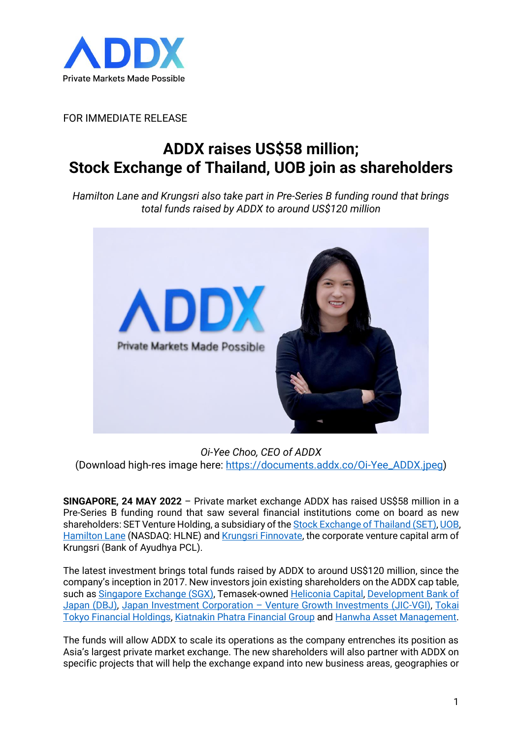

FOR IMMEDIATE RELEASE

## **ADDX raises US\$58 million; Stock Exchange of Thailand, UOB join as shareholders**

*Hamilton Lane and Krungsri also take part in Pre-Series B funding round that brings total funds raised by ADDX to around US\$120 million*



*Oi-Yee Choo, CEO of ADDX* (Download high-res image here: [https://documents.addx.co/Oi-Yee\\_ADDX.jpeg\)](https://documents.addx.co/Oi-Yee_ADDX.jpeg)

**SINGAPORE, 24 MAY 2022** – Private market exchange ADDX has raised US\$58 million in a Pre-Series B funding round that saw several financial institutions come on board as new shareholders: SET Venture Holding, a subsidiary of the [Stock Exchange of Thailand \(SET\),](https://classic.set.or.th/set/mainpage.do?language=en&country=US) [UOB,](http://www.uobgroup.com.sg/) [Hamilton Lane](https://www.hamiltonlane.com/) (NASDAQ: HLNE) and [Krungsri Finnovate,](https://www.krungsrifinnovate.com/en/Home) the corporate venture capital arm of Krungsri (Bank of Ayudhya PCL).

The latest investment brings total funds raised by ADDX to around US\$120 million, since the company's inception in 2017. New investors join existing shareholders on the ADDX cap table, such as [Singapore Exchange \(SGX\),](https://www.sgx.com/) Temasek-owned [Heliconia Capital,](http://www.heliconiacapital.com/) [Development Bank of](https://www.dbj.jp/en/)  [Japan](https://www.dbj.jp/en/) (DBJ), [Japan Investment Corporation](https://www.j-vgi.co.jp/en/) – Venture Growth Investments (JIC-VGI), [Tokai](https://www.tokaitokyo-fh.jp/en/)  [Tokyo Financial Holdings,](https://www.tokaitokyo-fh.jp/en/) [Kiatnakin Phatra Financial Group](https://www.kkpfg.com/en/home) and [Hanwha Asset Management.](http://eng.hanwhafund.co.kr/web/main/main.jsp)

The funds will allow ADDX to scale its operations as the company entrenches its position as Asia's largest private market exchange. The new shareholders will also partner with ADDX on specific projects that will help the exchange expand into new business areas, geographies or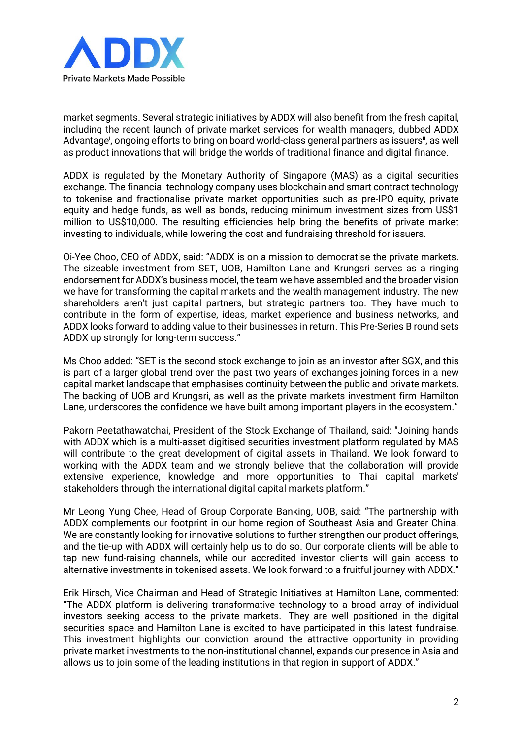

market segments. Several strategic initiatives by ADDX will also benefit from the fresh capital, including the recent launch of private market services for wealth managers, dubbed ADDX Advantage<sup>i</sup>, ongoing efforts to bring on board world-class general partners as issuers<sup>ii</sup>, as well as product innovations that will bridge the worlds of traditional finance and digital finance.

ADDX is regulated by the Monetary Authority of Singapore (MAS) as a digital securities exchange. The financial technology company uses blockchain and smart contract technology to tokenise and fractionalise private market opportunities such as pre-IPO equity, private equity and hedge funds, as well as bonds, reducing minimum investment sizes from US\$1 million to US\$10,000. The resulting efficiencies help bring the benefits of private market investing to individuals, while lowering the cost and fundraising threshold for issuers.

Oi-Yee Choo, CEO of ADDX, said: "ADDX is on a mission to democratise the private markets. The sizeable investment from SET, UOB, Hamilton Lane and Krungsri serves as a ringing endorsement for ADDX's business model, the team we have assembled and the broader vision we have for transforming the capital markets and the wealth management industry. The new shareholders aren't just capital partners, but strategic partners too. They have much to contribute in the form of expertise, ideas, market experience and business networks, and ADDX looks forward to adding value to their businesses in return. This Pre-Series B round sets ADDX up strongly for long-term success."

Ms Choo added: "SET is the second stock exchange to join as an investor after SGX, and this is part of a larger global trend over the past two years of exchanges joining forces in a new capital market landscape that emphasises continuity between the public and private markets. The backing of UOB and Krungsri, as well as the private markets investment firm Hamilton Lane, underscores the confidence we have built among important players in the ecosystem."

Pakorn Peetathawatchai, President of the Stock Exchange of Thailand, said: "Joining hands with ADDX which is a multi-asset digitised securities investment platform regulated by MAS will contribute to the great development of digital assets in Thailand. We look forward to working with the ADDX team and we strongly believe that the collaboration will provide extensive experience, knowledge and more opportunities to Thai capital markets' stakeholders through the international digital capital markets platform."

Mr Leong Yung Chee, Head of Group Corporate Banking, UOB, said: "The partnership with ADDX complements our footprint in our home region of Southeast Asia and Greater China. We are constantly looking for innovative solutions to further strengthen our product offerings, and the tie-up with ADDX will certainly help us to do so. Our corporate clients will be able to tap new fund-raising channels, while our accredited investor clients will gain access to alternative investments in tokenised assets. We look forward to a fruitful journey with ADDX."

Erik Hirsch, Vice Chairman and Head of Strategic Initiatives at Hamilton Lane, commented: "The ADDX platform is delivering transformative technology to a broad array of individual investors seeking access to the private markets. They are well positioned in the digital securities space and Hamilton Lane is excited to have participated in this latest fundraise. This investment highlights our conviction around the attractive opportunity in providing private market investments to the non-institutional channel, expands our presence in Asia and allows us to join some of the leading institutions in that region in support of ADDX."